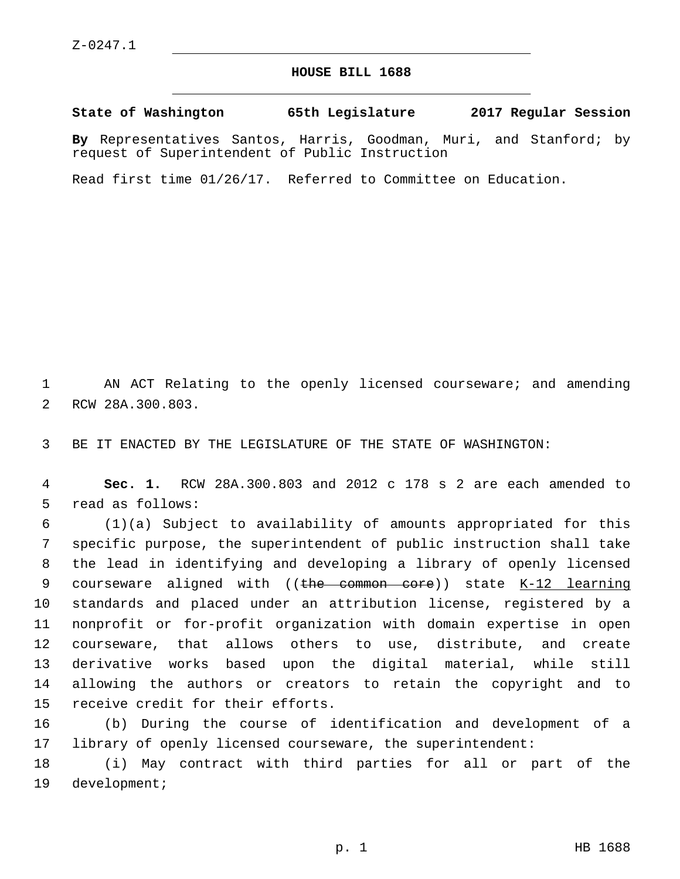## **HOUSE BILL 1688**

**State of Washington 65th Legislature 2017 Regular Session By** Representatives Santos, Harris, Goodman, Muri, and Stanford; by

Read first time 01/26/17. Referred to Committee on Education.

request of Superintendent of Public Instruction

1 AN ACT Relating to the openly licensed courseware; and amending 2 RCW 28A.300.803.

3 BE IT ENACTED BY THE LEGISLATURE OF THE STATE OF WASHINGTON:

4 **Sec. 1.** RCW 28A.300.803 and 2012 c 178 s 2 are each amended to 5 read as follows:

 (1)(a) Subject to availability of amounts appropriated for this specific purpose, the superintendent of public instruction shall take the lead in identifying and developing a library of openly licensed 9 courseware aligned with  $((the *e*-common *e*ore))$  state  $K-12$  learning standards and placed under an attribution license, registered by a nonprofit or for-profit organization with domain expertise in open courseware, that allows others to use, distribute, and create derivative works based upon the digital material, while still allowing the authors or creators to retain the copyright and to 15 receive credit for their efforts.

16 (b) During the course of identification and development of a 17 library of openly licensed courseware, the superintendent:

18 (i) May contract with third parties for all or part of the 19 development;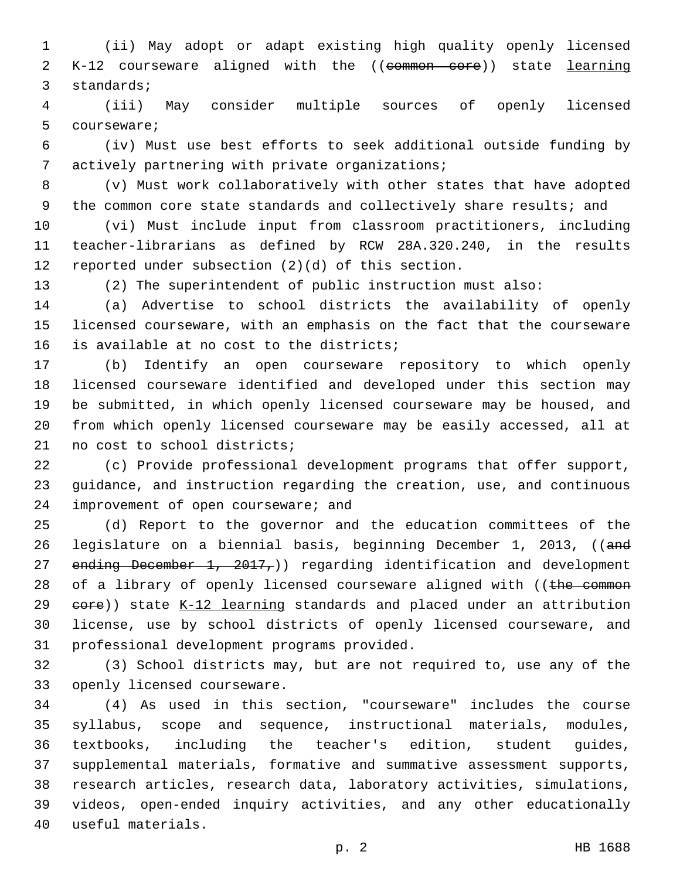(ii) May adopt or adapt existing high quality openly licensed 2 K-12 courseware aligned with the ((common core)) state learning 3 standards;

 (iii) May consider multiple sources of openly licensed 5 courseware;

 (iv) Must use best efforts to seek additional outside funding by 7 actively partnering with private organizations;

 (v) Must work collaboratively with other states that have adopted 9 the common core state standards and collectively share results; and

 (vi) Must include input from classroom practitioners, including teacher-librarians as defined by RCW 28A.320.240, in the results 12 reported under subsection  $(2)(d)$  of this section.

(2) The superintendent of public instruction must also:

 (a) Advertise to school districts the availability of openly licensed courseware, with an emphasis on the fact that the courseware 16 is available at no cost to the districts;

 (b) Identify an open courseware repository to which openly licensed courseware identified and developed under this section may be submitted, in which openly licensed courseware may be housed, and from which openly licensed courseware may be easily accessed, all at 21 no cost to school districts;

 (c) Provide professional development programs that offer support, guidance, and instruction regarding the creation, use, and continuous 24 improvement of open courseware; and

 (d) Report to the governor and the education committees of the legislature on a biennial basis, beginning December 1, 2013, ((and 27 ending December 1, 2017,)) regarding identification and development 28 of a library of openly licensed courseware aligned with ((the common 29 eore)) state K-12 learning standards and placed under an attribution license, use by school districts of openly licensed courseware, and 31 professional development programs provided.

 (3) School districts may, but are not required to, use any of the 33 openly licensed courseware.

 (4) As used in this section, "courseware" includes the course syllabus, scope and sequence, instructional materials, modules, textbooks, including the teacher's edition, student guides, supplemental materials, formative and summative assessment supports, research articles, research data, laboratory activities, simulations, videos, open-ended inquiry activities, and any other educationally useful materials.40